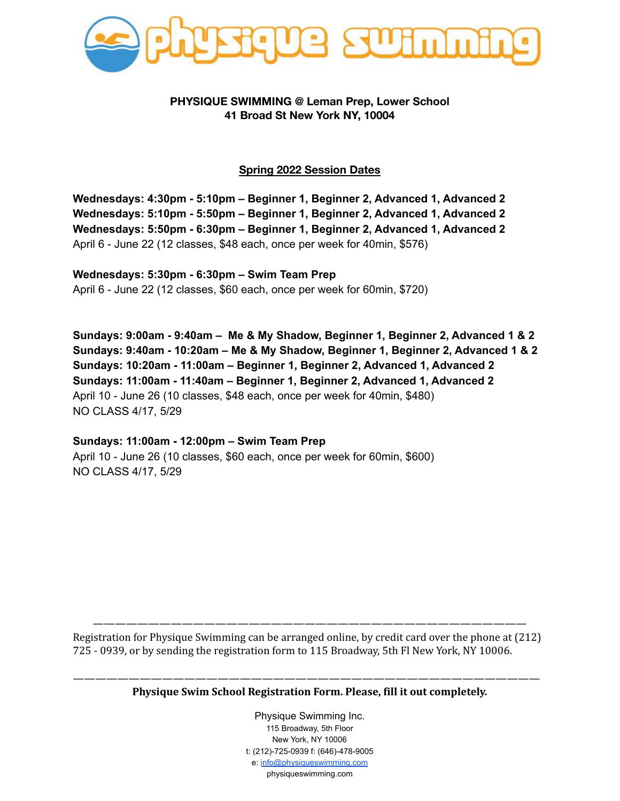

## **PHYSIQUE SWIMMING @ Leman Prep, Lower School 41 Broad St New York NY, 10004**

## **Spring 2022 Session Dates**

**Wednesdays: 4:30pm - 5:10pm – Beginner 1, Beginner 2, Advanced 1, Advanced 2 Wednesdays: 5:10pm - 5:50pm – Beginner 1, Beginner 2, Advanced 1, Advanced 2 Wednesdays: 5:50pm - 6:30pm – Beginner 1, Beginner 2, Advanced 1, Advanced 2** April 6 - June 22 (12 classes, \$48 each, once per week for 40min, \$576)

**Wednesdays: 5:30pm - 6:30pm – Swim Team Prep** April 6 - June 22 (12 classes, \$60 each, once per week for 60min, \$720)

**Sundays: 9:00am - 9:40am – Me & My Shadow, Beginner 1, Beginner 2, Advanced 1 & 2 Sundays: 9:40am - 10:20am – Me & My Shadow, Beginner 1, Beginner 2, Advanced 1 & 2 Sundays: 10:20am - 11:00am – Beginner 1, Beginner 2, Advanced 1, Advanced 2 Sundays: 11:00am - 11:40am – Beginner 1, Beginner 2, Advanced 1, Advanced 2** April 10 - June 26 (10 classes, \$48 each, once per week for 40min, \$480) NO CLASS 4/17, 5/29

**Sundays: 11:00am - 12:00pm – Swim Team Prep** April 10 - June 26 (10 classes, \$60 each, once per week for 60min, \$600) NO CLASS 4/17, 5/29

——————————————————————————————————————— Registration for Physique Swimming can be arranged online, by credit card over the phone at (212) 725 - 0939, or by sending the registration form to 115 Broadway, 5th Fl New York, NY 10006.

—————————————————————————————————————————— **Physique Swim School Registration Form. Please, fill it out completely.**

> Physique Swimming Inc. 115 Broadway, 5th Floor New York, NY 10006 t: (212)-725-0939 f: (646)-478-9005 e: [info@physiqueswimming.com](mailto:info@physiqueswimming.com) physiqueswimming.com